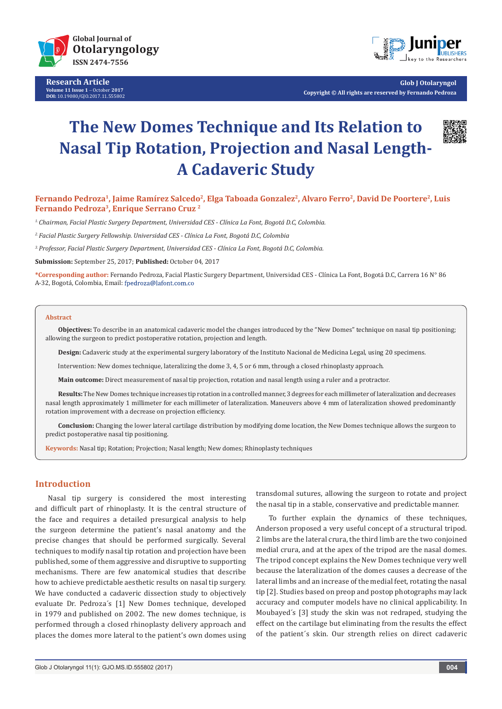

**Research Article Volume 11 Issue 1** - October **2017 DOI:** [10.19080/GJO.2017.11.555802](http://dx.doi.org/10.19080/GJO.2017.11.555802)



**Glob J Otolaryngol Copyright © All rights are reserved by Fernando Pedroza**

# **The New Domes Technique and Its Relation to Nasal Tip Rotation, Projection and Nasal Length-A Cadaveric Study**



Fernando Pedroza<sup>1</sup>, Jaime Ramírez Salcedo<sup>2</sup>, Elga Taboada Gonzalez<sup>2</sup>, Alvaro Ferro<sup>2</sup>, David De Poortere<sup>2</sup>, Luis **Fernando Pedroza3, Enrique Serrano Cruz 2**

*1. Chairman, Facial Plastic Surgery Department, Universidad CES - Clínica La Font, Bogotá D.C, Colombia.*

*2. Facial Plastic Surgery Fellowship. Universidad CES - Clínica La Font, Bogotá D.C, Colombia* 

*3. Professor, Facial Plastic Surgery Department, Universidad CES - Clínica La Font, Bogotá D.C, Colombia.*

**Submission:** September 25, 2017; **Published:** October 04, 2017

**\*Corresponding author:** Fernando Pedroza, Facial Plastic Surgery Department, Universidad CES - Clínica La Font, Bogotá D.C, Carrera 16 N° 86 A-32, Bogotá, Colombia, Email: fpedroza@lafont.com.co

#### **Abstract**

**Objectives:** To describe in an anatomical cadaveric model the changes introduced by the "New Domes" technique on nasal tip positioning; allowing the surgeon to predict postoperative rotation, projection and length.

**Design:** Cadaveric study at the experimental surgery laboratory of the Instituto Nacional de Medicina Legal, using 20 specimens.

Intervention: New domes technique, lateralizing the dome 3, 4, 5 or 6 mm, through a closed rhinoplasty approach.

**Main outcome:** Direct measurement of nasal tip projection, rotation and nasal length using a ruler and a protractor.

**Results:** The New Domes technique increases tip rotation in a controlled manner, 3 degrees for each millimeter of lateralization and decreases nasal length approximately 1 millimeter for each millimeter of lateralization. Maneuvers above 4 mm of lateralization showed predominantly rotation improvement with a decrease on projection efficiency.

**Conclusion:** Changing the lower lateral cartilage distribution by modifying dome location, the New Domes technique allows the surgeon to predict postoperative nasal tip positioning.

**Keywords:** Nasal tip; Rotation; Projection; Nasal length; New domes; Rhinoplasty techniques

### **Introduction**

Nasal tip surgery is considered the most interesting and difficult part of rhinoplasty. It is the central structure of the face and requires a detailed presurgical analysis to help the surgeon determine the patient's nasal anatomy and the precise changes that should be performed surgically. Several techniques to modify nasal tip rotation and projection have been published, some of them aggressive and disruptive to supporting mechanisms. There are few anatomical studies that describe how to achieve predictable aesthetic results on nasal tip surgery. We have conducted a cadaveric dissection study to objectively evaluate Dr. Pedroza´s [1] New Domes technique, developed in 1979 and published on 2002. The new domes technique, is performed through a closed rhinoplasty delivery approach and places the domes more lateral to the patient's own domes using

transdomal sutures, allowing the surgeon to rotate and project the nasal tip in a stable, conservative and predictable manner.

To further explain the dynamics of these techniques, Anderson proposed a very useful concept of a structural tripod. 2 limbs are the lateral crura, the third limb are the two conjoined medial crura, and at the apex of the tripod are the nasal domes. The tripod concept explains the New Domes technique very well because the lateralization of the domes causes a decrease of the lateral limbs and an increase of the medial feet, rotating the nasal tip [2]. Studies based on preop and postop photographs may lack accuracy and computer models have no clinical applicability. In Moubayed´s [3] study the skin was not redraped, studying the effect on the cartilage but eliminating from the results the effect of the patient´s skin. Our strength relies on direct cadaveric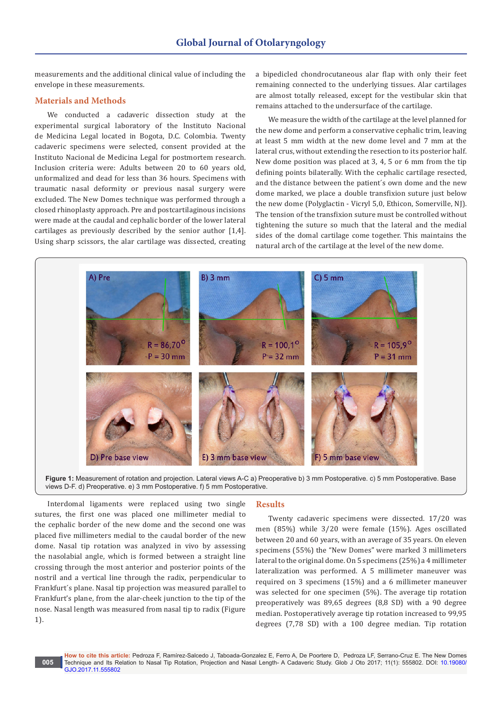measurements and the additional clinical value of including the envelope in these measurements.

# **Materials and Methods**

We conducted a cadaveric dissection study at the experimental surgical laboratory of the Instituto Nacional de Medicina Legal located in Bogota, D.C. Colombia. Twenty cadaveric specimens were selected, consent provided at the Instituto Nacional de Medicina Legal for postmortem research. Inclusion criteria were: Adults between 20 to 60 years old, unformalized and dead for less than 36 hours. Specimens with traumatic nasal deformity or previous nasal surgery were excluded. The New Domes technique was performed through a closed rhinoplasty approach. Pre and postcartilaginous incisions were made at the caudal and cephalic border of the lower lateral cartilages as previously described by the senior author [1,4]. Using sharp scissors, the alar cartilage was dissected, creating

a bipedicled chondrocutaneous alar flap with only their feet remaining connected to the underlying tissues. Alar cartilages are almost totally released, except for the vestibular skin that remains attached to the undersurface of the cartilage.

We measure the width of the cartilage at the level planned for the new dome and perform a conservative cephalic trim, leaving at least 5 mm width at the new dome level and 7 mm at the lateral crus, without extending the resection to its posterior half. New dome position was placed at 3, 4, 5 or 6 mm from the tip defining points bilaterally. With the cephalic cartilage resected, and the distance between the patient´s own dome and the new dome marked, we place a double transfixion suture just below the new dome (Polyglactin - Vicryl 5,0, Ethicon, Somerville, NJ). The tension of the transfixion suture must be controlled without tightening the suture so much that the lateral and the medial sides of the domal cartilage come together. This maintains the natural arch of the cartilage at the level of the new dome.



**Figure 1:** Measurement of rotation and projection. Lateral views A-C a) Preoperative b) 3 mm Postoperative. c) 5 mm Postoperative. Base views D-F. d) Preoperative. e) 3 mm Postoperative. f) 5 mm Postoperative.

Interdomal ligaments were replaced using two single sutures, the first one was placed one millimeter medial to the cephalic border of the new dome and the second one was placed five millimeters medial to the caudal border of the new dome. Nasal tip rotation was analyzed in vivo by assessing the nasolabial angle, which is formed between a straight line crossing through the most anterior and posterior points of the nostril and a vertical line through the radix, perpendicular to Frankfurt´s plane. Nasal tip projection was measured parallel to Frankfurt's plane, from the alar-cheek junction to the tip of the nose. Nasal length was measured from nasal tip to radix (Figure 1).

#### **Results**

Twenty cadaveric specimens were dissected. 17/20 was men (85%) while 3/20 were female (15%). Ages oscillated between 20 and 60 years, with an average of 35 years. On eleven specimens (55%) the "New Domes" were marked 3 millimeters lateral to the original dome. On 5 specimens (25%) a 4 millimeter lateralization was performed. A 5 millimeter maneuver was required on 3 specimens (15%) and a 6 millimeter maneuver was selected for one specimen (5%). The average tip rotation preoperatively was 89,65 degrees (8,8 SD) with a 90 degree median. Postoperatively average tip rotation increased to 99,95 degrees (7,78 SD) with a 100 degree median. Tip rotation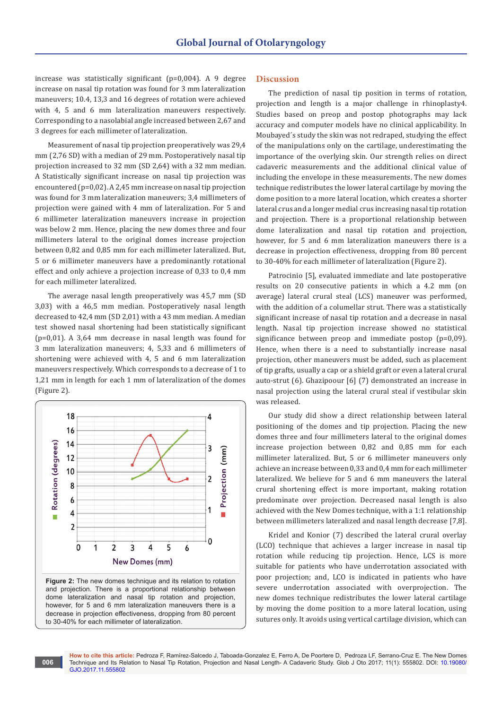increase was statistically significant (p=0,004). A 9 degree increase on nasal tip rotation was found for 3 mm lateralization maneuvers; 10.4, 13,3 and 16 degrees of rotation were achieved with 4, 5 and 6 mm lateralization maneuvers respectively. Corresponding to a nasolabial angle increased between 2,67 and 3 degrees for each millimeter of lateralization.

Measurement of nasal tip projection preoperatively was 29,4 mm (2,76 SD) with a median of 29 mm. Postoperatively nasal tip projection increased to 32 mm (SD 2,64) with a 32 mm median. A Statistically significant increase on nasal tip projection was encountered (p=0,02). A 2,45 mm increase on nasal tip projection was found for 3 mm lateralization maneuvers; 3,4 millimeters of projection were gained with 4 mm of lateralization. For 5 and 6 millimeter lateralization maneuvers increase in projection was below 2 mm. Hence, placing the new domes three and four millimeters lateral to the original domes increase projection between 0,82 and 0,85 mm for each millimeter lateralized. But, 5 or 6 millimeter maneuvers have a predominantly rotational effect and only achieve a projection increase of 0,33 to 0,4 mm for each millimeter lateralized.

The average nasal length preoperatively was 45,7 mm (SD 3,03) with a 46,5 mm median. Postoperatively nasal length decreased to 42,4 mm (SD 2,01) with a 43 mm median. A median test showed nasal shortening had been statistically significant (p=0,01). A 3,64 mm decrease in nasal length was found for 3 mm lateralization maneuvers; 4, 5,33 and 6 millimeters of shortening were achieved with 4, 5 and 6 mm lateralization maneuvers respectively. Which corresponds to a decrease of 1 to 1,21 mm in length for each 1 mm of lateralization of the domes (Figure 2).



**Figure 2:** The new domes technique and its relation to rotation and projection. There is a proportional relationship between dome lateralization and nasal tip rotation and projection, however, for 5 and 6 mm lateralization maneuvers there is a decrease in projection effectiveness, dropping from 80 percent to 30-40% for each millimeter of lateralization.

**006**

## **Discussion**

The prediction of nasal tip position in terms of rotation, projection and length is a major challenge in rhinoplasty4. Studies based on preop and postop photographs may lack accuracy and computer models have no clinical applicability. In Moubayed´s study the skin was not redraped, studying the effect of the manipulations only on the cartilage, underestimating the importance of the overlying skin. Our strength relies on direct cadaveric measurements and the additional clinical value of including the envelope in these measurements. The new domes technique redistributes the lower lateral cartilage by moving the dome position to a more lateral location, which creates a shorter lateral crus and a longer medial crus increasing nasal tip rotation and projection. There is a proportional relationship between dome lateralization and nasal tip rotation and projection, however, for 5 and 6 mm lateralization maneuvers there is a decrease in projection effectiveness, dropping from 80 percent to 30-40% for each millimeter of lateralization (Figure 2).

Patrocinio [5], evaluated immediate and late postoperative results on 20 consecutive patients in which a 4.2 mm (on average) lateral crural steal (LCS) maneuver was performed, with the addition of a columellar strut. There was a statistically significant increase of nasal tip rotation and a decrease in nasal length. Nasal tip projection increase showed no statistical significance between preop and immediate postop (p=0,09). Hence, when there is a need to substantially increase nasal projection, other maneuvers must be added, such as placement of tip grafts, usually a cap or a shield graft or even a lateral crural auto-strut (6). Ghazipoour [6] (7) demonstrated an increase in nasal projection using the lateral crural steal if vestibular skin was released.

Our study did show a direct relationship between lateral positioning of the domes and tip projection. Placing the new domes three and four millimeters lateral to the original domes increase projection between 0,82 and 0,85 mm for each millimeter lateralized. But, 5 or 6 millimeter maneuvers only achieve an increase between 0,33 and 0,4 mm for each millimeter lateralized. We believe for 5 and 6 mm maneuvers the lateral crural shortening effect is more important, making rotation predominate over projection. Decreased nasal length is also achieved with the New Domes technique, with a 1:1 relationship between millimeters lateralized and nasal length decrease [7,8].

Kridel and Konior (7) described the lateral crural overlay (LCO) technique that achieves a larger increase in nasal tip rotation while reducing tip projection. Hence, LCS is more suitable for patients who have underrotation associated with poor projection; and, LCO is indicated in patients who have severe underrotation associated with overprojection. The new domes technique redistributes the lower lateral cartilage by moving the dome position to a more lateral location, using sutures only. It avoids using vertical cartilage division, which can